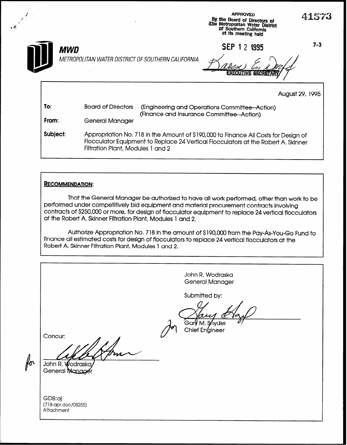

## RECOMMENDATION:

4

That the General Manager be authorized to have all work performed, other than work to be performed under competitively bid equipment and material procurement contracts involving contracts of \$250,000 or more, for design of flocculator equipment to replace 24 vertical flocculators at the Robert A. Skinner Filtration Plant, Modules 1 and 2.

Authorize Appropriation No, 718 in the amount of \$190,000 from the Pay-As-You-Go Fund to finance all estimated costs for design of flocculators to replace 24 vertical flocculators at the Robert A. Skinner Filtration Plant, Modules 1 and 2.

John R. Wodraska General Manager Submitted by: Gar**V** M. S∕nvder Chief Engineer Concur: for John R. Wodrasko General Manage GDB:aj (718-apr.doc/08255) **Attachment**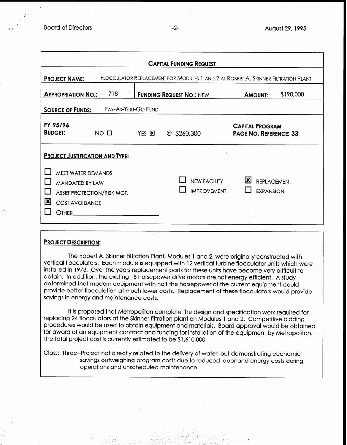| <b>CAPITAL FUNDING REQUEST</b>                                                                                                |                                                                     |  |                                           |                                                         |  |  |
|-------------------------------------------------------------------------------------------------------------------------------|---------------------------------------------------------------------|--|-------------------------------------------|---------------------------------------------------------|--|--|
| FLOCCULATOR REPLACEMENT FOR MODULES 1 AND 2 AT ROBERT A. SKINNER FILTRATION PLANT<br><b>PROJECT NAME:</b>                     |                                                                     |  |                                           |                                                         |  |  |
|                                                                                                                               | 718<br><b>FUNDING REQUEST NO.: NEW</b><br><b>APPROPRIATION NO.:</b> |  |                                           | \$190,000<br><b>AMOUNT:</b>                             |  |  |
| PAY-AS-YOU-GO FUND<br><b>SOURCE OF FUNDS:</b>                                                                                 |                                                                     |  |                                           |                                                         |  |  |
| FY 95/96<br><b>BUDGET:</b>                                                                                                    | NO <sub>II</sub><br>YES 図<br>$@$ \$260,300                          |  |                                           | <b>CAPITAL PROGRAM</b><br><b>PAGE NO. REFERENCE: 33</b> |  |  |
| <b>PROJECT JUSTIFICATION AND TYPE:</b><br>MEET WATER DEMANDS<br><b>MANDATED BY LAW</b><br>区<br><b>COST AVOIDANCE</b><br>OTHER | ASSET PROTECTION/RISK MGT.                                          |  | <b>NEW FACILITY</b><br><b>IMPROVEMENT</b> | ×<br><b>REPLACEMENT</b><br><b>EXPANSION</b>             |  |  |

## PROJECT DESCRIPTION:

The Robert A. Skinner Filtration Plant, Modules 1 and 2, were originally constructed with vertical flocculators. Each module is equipped with 12 vertical turbine flocculator units which were installed in 1973. Over the years replacement parts for these units have become very difficult to obtain. In addition, the existing 15 horsepower drive motors are not energy efficient. A study determined that modern equipment with half the horsepower of the current equipment could provide better flocculation at much lower costs. Replacement of these flocculators would provide savings in energy and maintenance costs.

It is proposed that Metropolitan complete the design and specification work required for replacing 24 flocculators at the Skinner filtration plant on Modules 1 and 2. Competitive bidding procedures would be used to obtain equipment and materials. Board approval would be obtained for award of an equipment contract and funding for installation of the equipment by Metropolitan. The total project cost is currently estimated to be \$1,610,000

Class: Three-Project not directly related to the delivery of water, but demonstrating economic savings outweighing program costs due to reduced labor and energy costs during operations and unscheduled maintenance.

.

/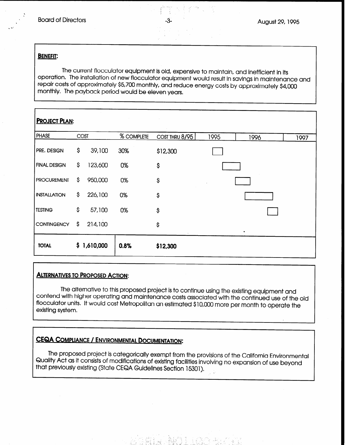#### BENEFIT:

The current flocculator equipment is old, expensive to maintain, and inefficient in its operation. The installation of new flocculator equipment would result in savings in maintenance and repair costs of approximately \$5,700 monthly, and reduce energy costs by approximately \$4,000 monthly, The payback period would be eleven years,

| <b>PROJECT PLAN:</b> |     |           |            |                |      |           |      |
|----------------------|-----|-----------|------------|----------------|------|-----------|------|
| <b>PHASE</b>         |     | COST      | % COMPLETE | COST THRU 8/95 | 1995 | 1996      | 1997 |
| PRE. DESIGN          | \$  | 39,100    | 30%        | \$12,300       |      |           |      |
| <b>FINAL DESIGN</b>  | \$. | 123,600   | 0%         | \$             |      |           |      |
| <b>PROCUREMENT</b>   | \$  | 950,000   | 0%         | $\mathsf{S}$   |      |           |      |
| <b>INSTALLATION</b>  | \$  | 226,100   | 0%         | \$             |      |           |      |
| <b>TESTING</b>       | \$  | 57,100    | 0%         | \$             |      |           |      |
| <b>CONTINGENCY</b>   | \$. | 214,100   |            | \$             |      | $\bullet$ |      |
| <b>TOTAL</b>         | \$. | 1,610,000 | 0.8%       | \$12,300       |      |           |      |

## ALTERNATIVES TO PROPOSED ACTION:

The alternative to this proposed project is to continue using the existing equipment and contend with higher operating and maintenance costs associated with the continued use of the the continued use ww.noma.mmmm.<br>floooudator.units existing system.  $I_{\rm H}$  would contribute Metric include  $\sim$  Costs dissociated with the continued use of the  $\epsilon$ 

# CEQA COMPLIANCE / ENVIRONMENTAL DOCUMENTATION:

The proposed project is categorically exempt from the provisions of the provisions of the  $C$ Quality Act as it consists of models is considered as it consists of the California Environment in the University Quality Act as it consists of modifications of existing facilities involving no expansion of use beyond that previously existing (State CEQA Guidelines Section 15301).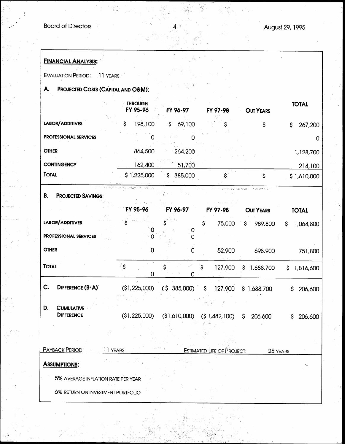| <b>FINANCIAL ANALYSIS:</b>                      |                                    |                         |                                   |                  |                 |
|-------------------------------------------------|------------------------------------|-------------------------|-----------------------------------|------------------|-----------------|
| <b>EVALUATION PERIOD:</b>                       | 11 YEARS                           |                         |                                   |                  |                 |
| А.                                              | PROJECTED COSTS (CAPITAL AND O&M): |                         |                                   |                  |                 |
|                                                 | <b>THROUGH</b><br>FY 95-96         | FY 96-97                | FY 97-98                          | <b>OUT YEARS</b> | <b>TOTAL</b>    |
| LABOR/ADDITIVES                                 | 198,100<br>Ś                       | \$69,100                |                                   | \$               | 267,200<br>\$   |
| <b>PROFESSIONAL SERVICES</b>                    | O                                  | O                       |                                   |                  | O               |
| <b>OTHER</b>                                    | 864,500                            | 264,200                 |                                   |                  | 1,128,700       |
| <b>CONTINGENCY</b>                              | 162,400                            | 51,700                  |                                   |                  | 214,100         |
| <b>TOTAL</b>                                    | \$1,225,000                        | \$ 385,000              | $\mathsf{S}^\circ$                | \$               | \$1,610,000     |
| В.<br><b>PROJECTED SAVINGS:</b>                 |                                    |                         |                                   | r dogminu        |                 |
|                                                 | FY 95-96                           | FY 96-97                | FY 97-98                          | <b>OUT YEARS</b> | <b>TOTAL</b>    |
| LABOR/ADDITIVES<br><b>PROFESSIONAL SERVICES</b> | 0                                  | $\boldsymbol{0}$<br>n   | $\mathsf{S}$<br>75,000            | 989,800<br>S.    | 1,064,800<br>\$ |
| <b>OTHER</b>                                    | 0                                  | 0                       | 52,900                            | 698,900          | 751,800         |
| <b>TOTAL</b>                                    | ें \$<br>$\mathbf 0$               | $\mathsf{\hat{S}}$<br>0 | Ś.<br>127,900                     | \$<br>1,688,700  | \$<br>1,816,600 |
| DIFFERENCE (B-A)<br>C.                          | (\$1,225,000)                      | (S 385,000)             | \$<br>127,900                     | \$1,688,700      | \$<br>206,600   |
| D.<br><b>CUMULATIVE</b><br><b>DIFFERENCE</b>    |                                    |                         |                                   |                  |                 |
|                                                 | (\$1,225,000)                      | (\$1,610,000)           | (\$1,482,100)                     | 206,600<br>\$    | 206,600<br>S    |
|                                                 |                                    |                         |                                   |                  |                 |
| PAYBACK PERIOD:                                 | 11 YEARS                           |                         | <b>ESTIMATED LIFE OF PROJECT:</b> |                  | 25 YEARS        |
| <b>ASSUMPTIONS:</b>                             |                                    |                         |                                   |                  |                 |
| 5% AVERAGE INFLATION RATE PER YEAR              |                                    |                         |                                   |                  |                 |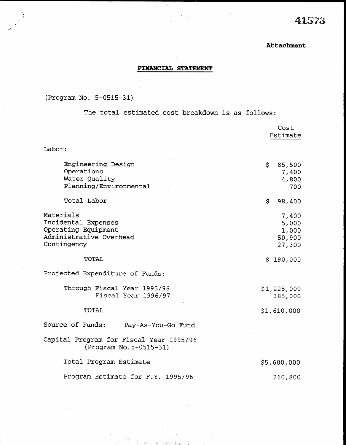## Attachment

## FINANCIAL STATEMENT

 $\lambda_{\rm{max}}$ 

 $\sim$ 

(Program No. 5-0515-31)

The total estimated cost breakdown is as follows:

|                                                                                                   | Cost<br>Estimate                            |
|---------------------------------------------------------------------------------------------------|---------------------------------------------|
| Labor:                                                                                            |                                             |
| Engineering Design<br>Operations<br>Water Quality<br>Planning/Environmental                       | \$<br>85,500<br>7,400<br>4,800<br>700       |
| Total Labor                                                                                       | \$.<br>98,400                               |
| Materials<br>Incidental Expenses<br>Operating Equipment<br>Administrative Overhead<br>Contingency | 7,400<br>5,000<br>1,000<br>50,900<br>27,300 |
| TOTAL                                                                                             | \$190,000                                   |
| Projected Expenditure of Funds:                                                                   |                                             |
| Through Fiscal Year 1995/96<br>Fiscal Year 1996/97                                                | \$1,225,000<br>385,000                      |
| <b>TOTAL</b>                                                                                      | \$1,610,000                                 |
| Source of Funds: Pay-As-You-Go Fund                                                               |                                             |
| Capital Program for Fiscal Year 1995/96<br>(Program No.5-0515-31)                                 |                                             |
| Total Program Estimate                                                                            | \$5,600,000                                 |
| Program Estimate for F.Y. 1995/96                                                                 | 260,800                                     |